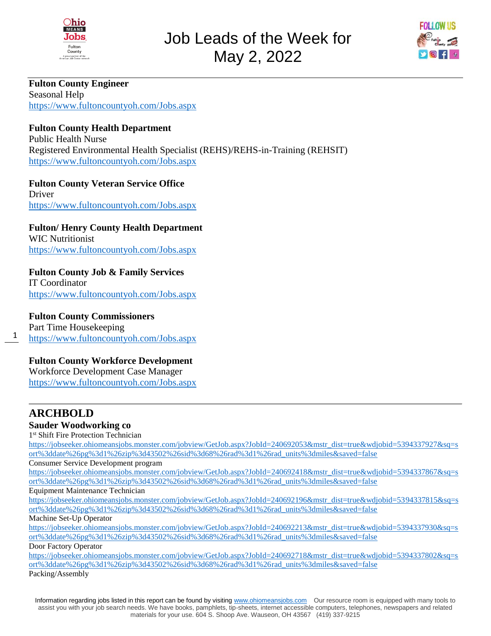



**Fulton County Engineer**  Seasonal Help <https://www.fultoncountyoh.com/Jobs.aspx>

## **Fulton County Health Department**

Public Health Nurse Registered Environmental Health Specialist (REHS)/REHS-in-Training (REHSIT) <https://www.fultoncountyoh.com/Jobs.aspx>

**Fulton County Veteran Service Office**  Driver <https://www.fultoncountyoh.com/Jobs.aspx>

# **Fulton/ Henry County Health Department**

WIC Nutritionist <https://www.fultoncountyoh.com/Jobs.aspx>

### **Fulton County Job & Family Services**

IT Coordinator <https://www.fultoncountyoh.com/Jobs.aspx>

#### **Fulton County Commissioners**

1 Part Time Housekeeping <https://www.fultoncountyoh.com/Jobs.aspx>

### **Fulton County Workforce Development**

Workforce Development Case Manager <https://www.fultoncountyoh.com/Jobs.aspx>

# **ARCHBOLD**

#### **Sauder Woodworking co**

1 st Shift Fire Protection Technician

[https://jobseeker.ohiomeansjobs.monster.com/jobview/GetJob.aspx?JobId=240692053&mstr\\_dist=true&wdjobid=5394337927&sq=s](https://jobseeker.ohiomeansjobs.monster.com/jobview/GetJob.aspx?JobId=240692053&mstr_dist=true&wdjobid=5394337927&sq=sort%3ddate%26pg%3d1%26zip%3d43502%26sid%3d68%26rad%3d1%26rad_units%3dmiles&saved=false) [ort%3ddate%26pg%3d1%26zip%3d43502%26sid%3d68%26rad%3d1%26rad\\_units%3dmiles&saved=false](https://jobseeker.ohiomeansjobs.monster.com/jobview/GetJob.aspx?JobId=240692053&mstr_dist=true&wdjobid=5394337927&sq=sort%3ddate%26pg%3d1%26zip%3d43502%26sid%3d68%26rad%3d1%26rad_units%3dmiles&saved=false)

Consumer Service Development program

[https://jobseeker.ohiomeansjobs.monster.com/jobview/GetJob.aspx?JobId=240692418&mstr\\_dist=true&wdjobid=5394337867&sq=s](https://jobseeker.ohiomeansjobs.monster.com/jobview/GetJob.aspx?JobId=240692418&mstr_dist=true&wdjobid=5394337867&sq=sort%3ddate%26pg%3d1%26zip%3d43502%26sid%3d68%26rad%3d1%26rad_units%3dmiles&saved=false) [ort%3ddate%26pg%3d1%26zip%3d43502%26sid%3d68%26rad%3d1%26rad\\_units%3dmiles&saved=false](https://jobseeker.ohiomeansjobs.monster.com/jobview/GetJob.aspx?JobId=240692418&mstr_dist=true&wdjobid=5394337867&sq=sort%3ddate%26pg%3d1%26zip%3d43502%26sid%3d68%26rad%3d1%26rad_units%3dmiles&saved=false)

Equipment Maintenance Technician

[https://jobseeker.ohiomeansjobs.monster.com/jobview/GetJob.aspx?JobId=240692196&mstr\\_dist=true&wdjobid=5394337815&sq=s](https://jobseeker.ohiomeansjobs.monster.com/jobview/GetJob.aspx?JobId=240692196&mstr_dist=true&wdjobid=5394337815&sq=sort%3ddate%26pg%3d1%26zip%3d43502%26sid%3d68%26rad%3d1%26rad_units%3dmiles&saved=false) [ort%3ddate%26pg%3d1%26zip%3d43502%26sid%3d68%26rad%3d1%26rad\\_units%3dmiles&saved=false](https://jobseeker.ohiomeansjobs.monster.com/jobview/GetJob.aspx?JobId=240692196&mstr_dist=true&wdjobid=5394337815&sq=sort%3ddate%26pg%3d1%26zip%3d43502%26sid%3d68%26rad%3d1%26rad_units%3dmiles&saved=false)

## Machine Set-Up Operator

[https://jobseeker.ohiomeansjobs.monster.com/jobview/GetJob.aspx?JobId=240692213&mstr\\_dist=true&wdjobid=5394337930&sq=s](https://jobseeker.ohiomeansjobs.monster.com/jobview/GetJob.aspx?JobId=240692213&mstr_dist=true&wdjobid=5394337930&sq=sort%3ddate%26pg%3d1%26zip%3d43502%26sid%3d68%26rad%3d1%26rad_units%3dmiles&saved=false) [ort%3ddate%26pg%3d1%26zip%3d43502%26sid%3d68%26rad%3d1%26rad\\_units%3dmiles&saved=false](https://jobseeker.ohiomeansjobs.monster.com/jobview/GetJob.aspx?JobId=240692213&mstr_dist=true&wdjobid=5394337930&sq=sort%3ddate%26pg%3d1%26zip%3d43502%26sid%3d68%26rad%3d1%26rad_units%3dmiles&saved=false) Door Factory Operator

[https://jobseeker.ohiomeansjobs.monster.com/jobview/GetJob.aspx?JobId=240692718&mstr\\_dist=true&wdjobid=5394337802&sq=s](https://jobseeker.ohiomeansjobs.monster.com/jobview/GetJob.aspx?JobId=240692718&mstr_dist=true&wdjobid=5394337802&sq=sort%3ddate%26pg%3d1%26zip%3d43502%26sid%3d68%26rad%3d1%26rad_units%3dmiles&saved=false) [ort%3ddate%26pg%3d1%26zip%3d43502%26sid%3d68%26rad%3d1%26rad\\_units%3dmiles&saved=false](https://jobseeker.ohiomeansjobs.monster.com/jobview/GetJob.aspx?JobId=240692718&mstr_dist=true&wdjobid=5394337802&sq=sort%3ddate%26pg%3d1%26zip%3d43502%26sid%3d68%26rad%3d1%26rad_units%3dmiles&saved=false) Packing/Assembly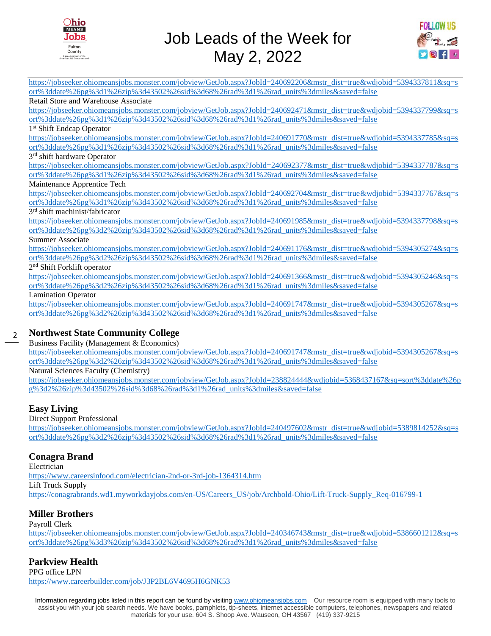



[https://jobseeker.ohiomeansjobs.monster.com/jobview/GetJob.aspx?JobId=240692206&mstr\\_dist=true&wdjobid=5394337811&sq=s](https://jobseeker.ohiomeansjobs.monster.com/jobview/GetJob.aspx?JobId=240692206&mstr_dist=true&wdjobid=5394337811&sq=sort%3ddate%26pg%3d1%26zip%3d43502%26sid%3d68%26rad%3d1%26rad_units%3dmiles&saved=false) [ort%3ddate%26pg%3d1%26zip%3d43502%26sid%3d68%26rad%3d1%26rad\\_units%3dmiles&saved=false](https://jobseeker.ohiomeansjobs.monster.com/jobview/GetJob.aspx?JobId=240692206&mstr_dist=true&wdjobid=5394337811&sq=sort%3ddate%26pg%3d1%26zip%3d43502%26sid%3d68%26rad%3d1%26rad_units%3dmiles&saved=false)

#### Retail Store and Warehouse Associate

[https://jobseeker.ohiomeansjobs.monster.com/jobview/GetJob.aspx?JobId=240692471&mstr\\_dist=true&wdjobid=5394337799&sq=s](https://jobseeker.ohiomeansjobs.monster.com/jobview/GetJob.aspx?JobId=240692471&mstr_dist=true&wdjobid=5394337799&sq=sort%3ddate%26pg%3d1%26zip%3d43502%26sid%3d68%26rad%3d1%26rad_units%3dmiles&saved=false) [ort%3ddate%26pg%3d1%26zip%3d43502%26sid%3d68%26rad%3d1%26rad\\_units%3dmiles&saved=false](https://jobseeker.ohiomeansjobs.monster.com/jobview/GetJob.aspx?JobId=240692471&mstr_dist=true&wdjobid=5394337799&sq=sort%3ddate%26pg%3d1%26zip%3d43502%26sid%3d68%26rad%3d1%26rad_units%3dmiles&saved=false)

#### 1 st Shift Endcap Operator

[https://jobseeker.ohiomeansjobs.monster.com/jobview/GetJob.aspx?JobId=240691770&mstr\\_dist=true&wdjobid=5394337785&sq=s](https://jobseeker.ohiomeansjobs.monster.com/jobview/GetJob.aspx?JobId=240691770&mstr_dist=true&wdjobid=5394337785&sq=sort%3ddate%26pg%3d1%26zip%3d43502%26sid%3d68%26rad%3d1%26rad_units%3dmiles&saved=false) [ort%3ddate%26pg%3d1%26zip%3d43502%26sid%3d68%26rad%3d1%26rad\\_units%3dmiles&saved=false](https://jobseeker.ohiomeansjobs.monster.com/jobview/GetJob.aspx?JobId=240691770&mstr_dist=true&wdjobid=5394337785&sq=sort%3ddate%26pg%3d1%26zip%3d43502%26sid%3d68%26rad%3d1%26rad_units%3dmiles&saved=false)

#### 3<sup>rd</sup> shift hardware Operator

[https://jobseeker.ohiomeansjobs.monster.com/jobview/GetJob.aspx?JobId=240692377&mstr\\_dist=true&wdjobid=5394337787&sq=s](https://jobseeker.ohiomeansjobs.monster.com/jobview/GetJob.aspx?JobId=240692377&mstr_dist=true&wdjobid=5394337787&sq=sort%3ddate%26pg%3d1%26zip%3d43502%26sid%3d68%26rad%3d1%26rad_units%3dmiles&saved=false) [ort%3ddate%26pg%3d1%26zip%3d43502%26sid%3d68%26rad%3d1%26rad\\_units%3dmiles&saved=false](https://jobseeker.ohiomeansjobs.monster.com/jobview/GetJob.aspx?JobId=240692377&mstr_dist=true&wdjobid=5394337787&sq=sort%3ddate%26pg%3d1%26zip%3d43502%26sid%3d68%26rad%3d1%26rad_units%3dmiles&saved=false)

#### Maintenance Apprentice Tech

[https://jobseeker.ohiomeansjobs.monster.com/jobview/GetJob.aspx?JobId=240692704&mstr\\_dist=true&wdjobid=5394337767&sq=s](https://jobseeker.ohiomeansjobs.monster.com/jobview/GetJob.aspx?JobId=240692704&mstr_dist=true&wdjobid=5394337767&sq=sort%3ddate%26pg%3d1%26zip%3d43502%26sid%3d68%26rad%3d1%26rad_units%3dmiles&saved=false) [ort%3ddate%26pg%3d1%26zip%3d43502%26sid%3d68%26rad%3d1%26rad\\_units%3dmiles&saved=false](https://jobseeker.ohiomeansjobs.monster.com/jobview/GetJob.aspx?JobId=240692704&mstr_dist=true&wdjobid=5394337767&sq=sort%3ddate%26pg%3d1%26zip%3d43502%26sid%3d68%26rad%3d1%26rad_units%3dmiles&saved=false)

#### 3 rd shift machinist/fabricator

[https://jobseeker.ohiomeansjobs.monster.com/jobview/GetJob.aspx?JobId=240691985&mstr\\_dist=true&wdjobid=5394337798&sq=s](https://jobseeker.ohiomeansjobs.monster.com/jobview/GetJob.aspx?JobId=240691985&mstr_dist=true&wdjobid=5394337798&sq=sort%3ddate%26pg%3d2%26zip%3d43502%26sid%3d68%26rad%3d1%26rad_units%3dmiles&saved=false) [ort%3ddate%26pg%3d2%26zip%3d43502%26sid%3d68%26rad%3d1%26rad\\_units%3dmiles&saved=false](https://jobseeker.ohiomeansjobs.monster.com/jobview/GetJob.aspx?JobId=240691985&mstr_dist=true&wdjobid=5394337798&sq=sort%3ddate%26pg%3d2%26zip%3d43502%26sid%3d68%26rad%3d1%26rad_units%3dmiles&saved=false)

#### Summer Associate

[https://jobseeker.ohiomeansjobs.monster.com/jobview/GetJob.aspx?JobId=240691176&mstr\\_dist=true&wdjobid=5394305274&sq=s](https://jobseeker.ohiomeansjobs.monster.com/jobview/GetJob.aspx?JobId=240691176&mstr_dist=true&wdjobid=5394305274&sq=sort%3ddate%26pg%3d2%26zip%3d43502%26sid%3d68%26rad%3d1%26rad_units%3dmiles&saved=false) [ort%3ddate%26pg%3d2%26zip%3d43502%26sid%3d68%26rad%3d1%26rad\\_units%3dmiles&saved=false](https://jobseeker.ohiomeansjobs.monster.com/jobview/GetJob.aspx?JobId=240691176&mstr_dist=true&wdjobid=5394305274&sq=sort%3ddate%26pg%3d2%26zip%3d43502%26sid%3d68%26rad%3d1%26rad_units%3dmiles&saved=false)

2<sup>nd</sup> Shift Forklift operator

[https://jobseeker.ohiomeansjobs.monster.com/jobview/GetJob.aspx?JobId=240691366&mstr\\_dist=true&wdjobid=5394305246&sq=s](https://jobseeker.ohiomeansjobs.monster.com/jobview/GetJob.aspx?JobId=240691366&mstr_dist=true&wdjobid=5394305246&sq=sort%3ddate%26pg%3d2%26zip%3d43502%26sid%3d68%26rad%3d1%26rad_units%3dmiles&saved=false) [ort%3ddate%26pg%3d2%26zip%3d43502%26sid%3d68%26rad%3d1%26rad\\_units%3dmiles&saved=false](https://jobseeker.ohiomeansjobs.monster.com/jobview/GetJob.aspx?JobId=240691366&mstr_dist=true&wdjobid=5394305246&sq=sort%3ddate%26pg%3d2%26zip%3d43502%26sid%3d68%26rad%3d1%26rad_units%3dmiles&saved=false)

Lamination Operator

[https://jobseeker.ohiomeansjobs.monster.com/jobview/GetJob.aspx?JobId=240691747&mstr\\_dist=true&wdjobid=5394305267&sq=s](https://jobseeker.ohiomeansjobs.monster.com/jobview/GetJob.aspx?JobId=240691747&mstr_dist=true&wdjobid=5394305267&sq=sort%3ddate%26pg%3d2%26zip%3d43502%26sid%3d68%26rad%3d1%26rad_units%3dmiles&saved=false) [ort%3ddate%26pg%3d2%26zip%3d43502%26sid%3d68%26rad%3d1%26rad\\_units%3dmiles&saved=false](https://jobseeker.ohiomeansjobs.monster.com/jobview/GetJob.aspx?JobId=240691747&mstr_dist=true&wdjobid=5394305267&sq=sort%3ddate%26pg%3d2%26zip%3d43502%26sid%3d68%26rad%3d1%26rad_units%3dmiles&saved=false)

#### 2 **Northwest State Community College**

Business Facility (Management & Economics)

[https://jobseeker.ohiomeansjobs.monster.com/jobview/GetJob.aspx?JobId=240691747&mstr\\_dist=true&wdjobid=5394305267&sq=s](https://jobseeker.ohiomeansjobs.monster.com/jobview/GetJob.aspx?JobId=240691747&mstr_dist=true&wdjobid=5394305267&sq=sort%3ddate%26pg%3d2%26zip%3d43502%26sid%3d68%26rad%3d1%26rad_units%3dmiles&saved=false) [ort%3ddate%26pg%3d2%26zip%3d43502%26sid%3d68%26rad%3d1%26rad\\_units%3dmiles&saved=false](https://jobseeker.ohiomeansjobs.monster.com/jobview/GetJob.aspx?JobId=240691747&mstr_dist=true&wdjobid=5394305267&sq=sort%3ddate%26pg%3d2%26zip%3d43502%26sid%3d68%26rad%3d1%26rad_units%3dmiles&saved=false)

Natural Sciences Faculty (Chemistry)

[https://jobseeker.ohiomeansjobs.monster.com/jobview/GetJob.aspx?JobId=238824444&wdjobid=5368437167&sq=sort%3ddate%26p](https://jobseeker.ohiomeansjobs.monster.com/jobview/GetJob.aspx?JobId=238824444&wdjobid=5368437167&sq=sort%3ddate%26pg%3d2%26zip%3d43502%26sid%3d68%26rad%3d1%26rad_units%3dmiles&saved=false) [g%3d2%26zip%3d43502%26sid%3d68%26rad%3d1%26rad\\_units%3dmiles&saved=false](https://jobseeker.ohiomeansjobs.monster.com/jobview/GetJob.aspx?JobId=238824444&wdjobid=5368437167&sq=sort%3ddate%26pg%3d2%26zip%3d43502%26sid%3d68%26rad%3d1%26rad_units%3dmiles&saved=false)

#### **Easy Living**

#### Direct Support Professional

[https://jobseeker.ohiomeansjobs.monster.com/jobview/GetJob.aspx?JobId=240497602&mstr\\_dist=true&wdjobid=5389814252&sq=s](https://jobseeker.ohiomeansjobs.monster.com/jobview/GetJob.aspx?JobId=240497602&mstr_dist=true&wdjobid=5389814252&sq=sort%3ddate%26pg%3d2%26zip%3d43502%26sid%3d68%26rad%3d1%26rad_units%3dmiles&saved=false) [ort%3ddate%26pg%3d2%26zip%3d43502%26sid%3d68%26rad%3d1%26rad\\_units%3dmiles&saved=false](https://jobseeker.ohiomeansjobs.monster.com/jobview/GetJob.aspx?JobId=240497602&mstr_dist=true&wdjobid=5389814252&sq=sort%3ddate%26pg%3d2%26zip%3d43502%26sid%3d68%26rad%3d1%26rad_units%3dmiles&saved=false)

#### **Conagra Brand**

Electrician

<https://www.careersinfood.com/electrician-2nd-or-3rd-job-1364314.htm>

Lift Truck Supply

[https://conagrabrands.wd1.myworkdayjobs.com/en-US/Careers\\_US/job/Archbold-Ohio/Lift-Truck-Supply\\_Req-016799-1](https://conagrabrands.wd1.myworkdayjobs.com/en-US/Careers_US/job/Archbold-Ohio/Lift-Truck-Supply_Req-016799-1)

#### **Miller Brothers**

Payroll Clerk

[https://jobseeker.ohiomeansjobs.monster.com/jobview/GetJob.aspx?JobId=240346743&mstr\\_dist=true&wdjobid=5386601212&sq=s](https://jobseeker.ohiomeansjobs.monster.com/jobview/GetJob.aspx?JobId=240346743&mstr_dist=true&wdjobid=5386601212&sq=sort%3ddate%26pg%3d3%26zip%3d43502%26sid%3d68%26rad%3d1%26rad_units%3dmiles&saved=false) [ort%3ddate%26pg%3d3%26zip%3d43502%26sid%3d68%26rad%3d1%26rad\\_units%3dmiles&saved=false](https://jobseeker.ohiomeansjobs.monster.com/jobview/GetJob.aspx?JobId=240346743&mstr_dist=true&wdjobid=5386601212&sq=sort%3ddate%26pg%3d3%26zip%3d43502%26sid%3d68%26rad%3d1%26rad_units%3dmiles&saved=false)

#### **Parkview Health**

PPG office LPN <https://www.careerbuilder.com/job/J3P2BL6V4695H6GNK53>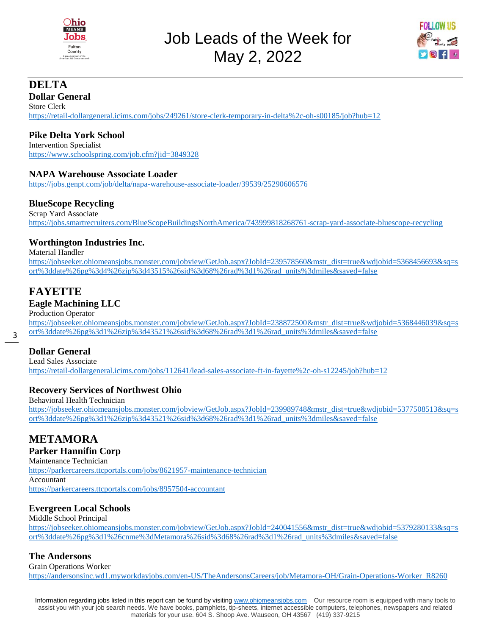

Job Leads of the Week for May 2, 2022



# **DELTA**

**Dollar General**  Store Clerk <https://retail-dollargeneral.icims.com/jobs/249261/store-clerk-temporary-in-delta%2c-oh-s00185/job?hub=12>

# **Pike Delta York School**

Intervention Specialist <https://www.schoolspring.com/job.cfm?jid=3849328>

#### **NAPA Warehouse Associate Loader**

<https://jobs.genpt.com/job/delta/napa-warehouse-associate-loader/39539/25290606576>

#### **BlueScope Recycling**

Scrap Yard Associate <https://jobs.smartrecruiters.com/BlueScopeBuildingsNorthAmerica/743999818268761-scrap-yard-associate-bluescope-recycling>

### **Worthington Industries Inc.**

Material Handler [https://jobseeker.ohiomeansjobs.monster.com/jobview/GetJob.aspx?JobId=239578560&mstr\\_dist=true&wdjobid=5368456693&sq=s](https://jobseeker.ohiomeansjobs.monster.com/jobview/GetJob.aspx?JobId=239578560&mstr_dist=true&wdjobid=5368456693&sq=sort%3ddate%26pg%3d4%26zip%3d43515%26sid%3d68%26rad%3d1%26rad_units%3dmiles&saved=false) [ort%3ddate%26pg%3d4%26zip%3d43515%26sid%3d68%26rad%3d1%26rad\\_units%3dmiles&saved=false](https://jobseeker.ohiomeansjobs.monster.com/jobview/GetJob.aspx?JobId=239578560&mstr_dist=true&wdjobid=5368456693&sq=sort%3ddate%26pg%3d4%26zip%3d43515%26sid%3d68%26rad%3d1%26rad_units%3dmiles&saved=false)

# **FAYETTE**

#### **Eagle Machining LLC**

Production Operator

[https://jobseeker.ohiomeansjobs.monster.com/jobview/GetJob.aspx?JobId=238872500&mstr\\_dist=true&wdjobid=5368446039&sq=s](https://jobseeker.ohiomeansjobs.monster.com/jobview/GetJob.aspx?JobId=238872500&mstr_dist=true&wdjobid=5368446039&sq=sort%3ddate%26pg%3d1%26zip%3d43521%26sid%3d68%26rad%3d1%26rad_units%3dmiles&saved=false) [ort%3ddate%26pg%3d1%26zip%3d43521%26sid%3d68%26rad%3d1%26rad\\_units%3dmiles&saved=false](https://jobseeker.ohiomeansjobs.monster.com/jobview/GetJob.aspx?JobId=238872500&mstr_dist=true&wdjobid=5368446039&sq=sort%3ddate%26pg%3d1%26zip%3d43521%26sid%3d68%26rad%3d1%26rad_units%3dmiles&saved=false)

### **Dollar General**

3

Lead Sales Associate <https://retail-dollargeneral.icims.com/jobs/112641/lead-sales-associate-ft-in-fayette%2c-oh-s12245/job?hub=12>

### **Recovery Services of Northwest Ohio**

Behavioral Health Technician [https://jobseeker.ohiomeansjobs.monster.com/jobview/GetJob.aspx?JobId=239989748&mstr\\_dist=true&wdjobid=5377508513&sq=s](https://jobseeker.ohiomeansjobs.monster.com/jobview/GetJob.aspx?JobId=239989748&mstr_dist=true&wdjobid=5377508513&sq=sort%3ddate%26pg%3d1%26zip%3d43521%26sid%3d68%26rad%3d1%26rad_units%3dmiles&saved=false) [ort%3ddate%26pg%3d1%26zip%3d43521%26sid%3d68%26rad%3d1%26rad\\_units%3dmiles&saved=false](https://jobseeker.ohiomeansjobs.monster.com/jobview/GetJob.aspx?JobId=239989748&mstr_dist=true&wdjobid=5377508513&sq=sort%3ddate%26pg%3d1%26zip%3d43521%26sid%3d68%26rad%3d1%26rad_units%3dmiles&saved=false)

# **METAMORA**

**Parker Hannifin Corp** Maintenance Technician <https://parkercareers.ttcportals.com/jobs/8621957-maintenance-technician> Accountant <https://parkercareers.ttcportals.com/jobs/8957504-accountant>

#### **Evergreen Local Schools**

Middle School Principal [https://jobseeker.ohiomeansjobs.monster.com/jobview/GetJob.aspx?JobId=240041556&mstr\\_dist=true&wdjobid=5379280133&sq=s](https://jobseeker.ohiomeansjobs.monster.com/jobview/GetJob.aspx?JobId=240041556&mstr_dist=true&wdjobid=5379280133&sq=sort%3ddate%26pg%3d1%26cnme%3dMetamora%26sid%3d68%26rad%3d1%26rad_units%3dmiles&saved=false) [ort%3ddate%26pg%3d1%26cnme%3dMetamora%26sid%3d68%26rad%3d1%26rad\\_units%3dmiles&saved=false](https://jobseeker.ohiomeansjobs.monster.com/jobview/GetJob.aspx?JobId=240041556&mstr_dist=true&wdjobid=5379280133&sq=sort%3ddate%26pg%3d1%26cnme%3dMetamora%26sid%3d68%26rad%3d1%26rad_units%3dmiles&saved=false)

### **The Andersons**

Grain Operations Worker [https://andersonsinc.wd1.myworkdayjobs.com/en-US/TheAndersonsCareers/job/Metamora-OH/Grain-Operations-Worker\\_R8260](https://andersonsinc.wd1.myworkdayjobs.com/en-US/TheAndersonsCareers/job/Metamora-OH/Grain-Operations-Worker_R8260)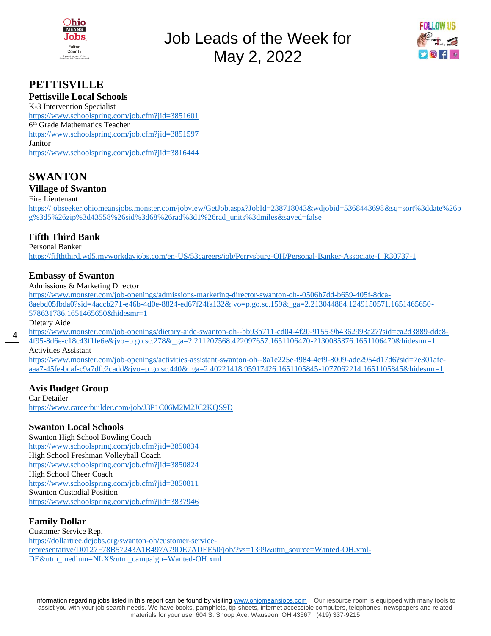



# **PETTISVILLE**

#### **Pettisville Local Schools**

K-3 Intervention Specialist <https://www.schoolspring.com/job.cfm?jid=3851601> 6<sup>th</sup> Grade Mathematics Teacher <https://www.schoolspring.com/job.cfm?jid=3851597> Janitor <https://www.schoolspring.com/job.cfm?jid=3816444>

# **SWANTON**

#### **Village of Swanton**

#### Fire Lieutenant

[https://jobseeker.ohiomeansjobs.monster.com/jobview/GetJob.aspx?JobId=238718043&wdjobid=5368443698&sq=sort%3ddate%26p](https://jobseeker.ohiomeansjobs.monster.com/jobview/GetJob.aspx?JobId=238718043&wdjobid=5368443698&sq=sort%3ddate%26pg%3d5%26zip%3d43558%26sid%3d68%26rad%3d1%26rad_units%3dmiles&saved=false) [g%3d5%26zip%3d43558%26sid%3d68%26rad%3d1%26rad\\_units%3dmiles&saved=false](https://jobseeker.ohiomeansjobs.monster.com/jobview/GetJob.aspx?JobId=238718043&wdjobid=5368443698&sq=sort%3ddate%26pg%3d5%26zip%3d43558%26sid%3d68%26rad%3d1%26rad_units%3dmiles&saved=false)

#### **Fifth Third Bank**

Personal Banker

[https://fifththird.wd5.myworkdayjobs.com/en-US/53careers/job/Perrysburg-OH/Personal-Banker-Associate-I\\_R30737-1](https://fifththird.wd5.myworkdayjobs.com/en-US/53careers/job/Perrysburg-OH/Personal-Banker-Associate-I_R30737-1)

#### **Embassy of Swanton**

Admissions & Marketing Director

[https://www.monster.com/job-openings/admissions-marketing-director-swanton-oh--0506b7dd-b659-405f-8dca-](https://www.monster.com/job-openings/admissions-marketing-director-swanton-oh--0506b7dd-b659-405f-8dca-8aebd05fbda0?sid=4accb271-e46b-4d0e-8824-ed67f24fa132&jvo=p.go.sc.159&_ga=2.213044884.1249150571.1651465650-578631786.1651465650&hidesmr=1)[8aebd05fbda0?sid=4accb271-e46b-4d0e-8824-ed67f24fa132&jvo=p.go.sc.159&\\_ga=2.213044884.1249150571.1651465650-](https://www.monster.com/job-openings/admissions-marketing-director-swanton-oh--0506b7dd-b659-405f-8dca-8aebd05fbda0?sid=4accb271-e46b-4d0e-8824-ed67f24fa132&jvo=p.go.sc.159&_ga=2.213044884.1249150571.1651465650-578631786.1651465650&hidesmr=1) [578631786.1651465650&hidesmr=1](https://www.monster.com/job-openings/admissions-marketing-director-swanton-oh--0506b7dd-b659-405f-8dca-8aebd05fbda0?sid=4accb271-e46b-4d0e-8824-ed67f24fa132&jvo=p.go.sc.159&_ga=2.213044884.1249150571.1651465650-578631786.1651465650&hidesmr=1)

Dietary Aide

4 [https://www.monster.com/job-openings/dietary-aide-swanton-oh--bb93b711-cd04-4f20-9155-9b4362993a27?sid=ca2d3889-ddc8-](https://www.monster.com/job-openings/dietary-aide-swanton-oh--bb93b711-cd04-4f20-9155-9b4362993a27?sid=ca2d3889-ddc8-4f95-8d6e-c18c43f1fe6e&jvo=p.go.sc.278&_ga=2.211207568.422097657.1651106470-2130085376.1651106470&hidesmr=1)

[4f95-8d6e-c18c43f1fe6e&jvo=p.go.sc.278&\\_ga=2.211207568.422097657.1651106470-2130085376.1651106470&hidesmr=1](https://www.monster.com/job-openings/dietary-aide-swanton-oh--bb93b711-cd04-4f20-9155-9b4362993a27?sid=ca2d3889-ddc8-4f95-8d6e-c18c43f1fe6e&jvo=p.go.sc.278&_ga=2.211207568.422097657.1651106470-2130085376.1651106470&hidesmr=1) Activities Assistant

[https://www.monster.com/job-openings/activities-assistant-swanton-oh--8a1e225e-f984-4cf9-8009-adc2954d17d6?sid=7e301afc](https://www.monster.com/job-openings/activities-assistant-swanton-oh--8a1e225e-f984-4cf9-8009-adc2954d17d6?sid=7e301afc-aaa7-45fe-bcaf-c9a7dfc2cadd&jvo=p.go.sc.440&_ga=2.40221418.95917426.1651105845-1077062214.1651105845&hidesmr=1)[aaa7-45fe-bcaf-c9a7dfc2cadd&jvo=p.go.sc.440&\\_ga=2.40221418.95917426.1651105845-1077062214.1651105845&hidesmr=1](https://www.monster.com/job-openings/activities-assistant-swanton-oh--8a1e225e-f984-4cf9-8009-adc2954d17d6?sid=7e301afc-aaa7-45fe-bcaf-c9a7dfc2cadd&jvo=p.go.sc.440&_ga=2.40221418.95917426.1651105845-1077062214.1651105845&hidesmr=1)

#### **Avis Budget Group**

Car Detailer <https://www.careerbuilder.com/job/J3P1C06M2M2JC2KQS9D>

#### **Swanton Local Schools**

Swanton High School Bowling Coach <https://www.schoolspring.com/job.cfm?jid=3850834> High School Freshman Volleyball Coach <https://www.schoolspring.com/job.cfm?jid=3850824> High School Cheer Coach <https://www.schoolspring.com/job.cfm?jid=3850811> Swanton Custodial Position <https://www.schoolspring.com/job.cfm?jid=3837946>

#### **Family Dollar**

Customer Service Rep. [https://dollartree.dejobs.org/swanton-oh/customer-service](https://dollartree.dejobs.org/swanton-oh/customer-service-representative/D0127F78B57243A1B497A79DE7ADEE50/job/?vs=1399&utm_source=Wanted-OH.xml-DE&utm_medium=NLX&utm_campaign=Wanted-OH.xml)[representative/D0127F78B57243A1B497A79DE7ADEE50/job/?vs=1399&utm\\_source=Wanted-OH.xml-](https://dollartree.dejobs.org/swanton-oh/customer-service-representative/D0127F78B57243A1B497A79DE7ADEE50/job/?vs=1399&utm_source=Wanted-OH.xml-DE&utm_medium=NLX&utm_campaign=Wanted-OH.xml)[DE&utm\\_medium=NLX&utm\\_campaign=Wanted-OH.xml](https://dollartree.dejobs.org/swanton-oh/customer-service-representative/D0127F78B57243A1B497A79DE7ADEE50/job/?vs=1399&utm_source=Wanted-OH.xml-DE&utm_medium=NLX&utm_campaign=Wanted-OH.xml)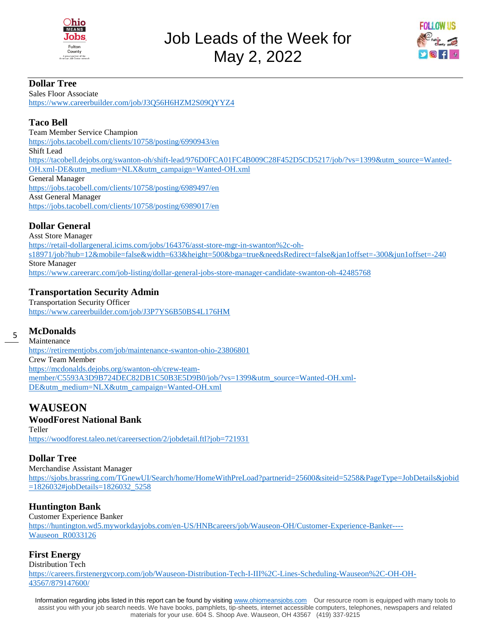



#### **Dollar Tree**

Sales Floor Associate <https://www.careerbuilder.com/job/J3Q56H6HZM2S09QYYZ4>

#### **Taco Bell**

Team Member Service Champion <https://jobs.tacobell.com/clients/10758/posting/6990943/en> Shift Lead [https://tacobell.dejobs.org/swanton-oh/shift-lead/976D0FCA01FC4B009C28F452D5CD5217/job/?vs=1399&utm\\_source=Wanted-](https://tacobell.dejobs.org/swanton-oh/shift-lead/976D0FCA01FC4B009C28F452D5CD5217/job/?vs=1399&utm_source=Wanted-OH.xml-DE&utm_medium=NLX&utm_campaign=Wanted-OH.xml)[OH.xml-DE&utm\\_medium=NLX&utm\\_campaign=Wanted-OH.xml](https://tacobell.dejobs.org/swanton-oh/shift-lead/976D0FCA01FC4B009C28F452D5CD5217/job/?vs=1399&utm_source=Wanted-OH.xml-DE&utm_medium=NLX&utm_campaign=Wanted-OH.xml) General Manager <https://jobs.tacobell.com/clients/10758/posting/6989497/en> Asst General Manager <https://jobs.tacobell.com/clients/10758/posting/6989017/en>

# **Dollar General**

Asst Store Manager [https://retail-dollargeneral.icims.com/jobs/164376/asst-store-mgr-in-swanton%2c-oh](https://retail-dollargeneral.icims.com/jobs/164376/asst-store-mgr-in-swanton%2c-oh-s18971/job?hub=12&mobile=false&width=633&height=500&bga=true&needsRedirect=false&jan1offset=-300&jun1offset=-240)[s18971/job?hub=12&mobile=false&width=633&height=500&bga=true&needsRedirect=false&jan1offset=-300&jun1offset=-240](https://retail-dollargeneral.icims.com/jobs/164376/asst-store-mgr-in-swanton%2c-oh-s18971/job?hub=12&mobile=false&width=633&height=500&bga=true&needsRedirect=false&jan1offset=-300&jun1offset=-240) Store Manager <https://www.careerarc.com/job-listing/dollar-general-jobs-store-manager-candidate-swanton-oh-42485768>

# **Transportation Security Admin**

Transportation Security Officer <https://www.careerbuilder.com/job/J3P7YS6B50BS4L176HM>

#### 5 **McDonalds**

Maintenance <https://retirementjobs.com/job/maintenance-swanton-ohio-23806801> Crew Team Member [https://mcdonalds.dejobs.org/swanton-oh/crew-team](https://mcdonalds.dejobs.org/swanton-oh/crew-team-member/C5593A3D9B724DEC82DB1C50B3E5D9B0/job/?vs=1399&utm_source=Wanted-OH.xml-DE&utm_medium=NLX&utm_campaign=Wanted-OH.xml)[member/C5593A3D9B724DEC82DB1C50B3E5D9B0/job/?vs=1399&utm\\_source=Wanted-OH.xml-](https://mcdonalds.dejobs.org/swanton-oh/crew-team-member/C5593A3D9B724DEC82DB1C50B3E5D9B0/job/?vs=1399&utm_source=Wanted-OH.xml-DE&utm_medium=NLX&utm_campaign=Wanted-OH.xml)[DE&utm\\_medium=NLX&utm\\_campaign=Wanted-OH.xml](https://mcdonalds.dejobs.org/swanton-oh/crew-team-member/C5593A3D9B724DEC82DB1C50B3E5D9B0/job/?vs=1399&utm_source=Wanted-OH.xml-DE&utm_medium=NLX&utm_campaign=Wanted-OH.xml)

# **WAUSEON**

#### **WoodForest National Bank**

Teller <https://woodforest.taleo.net/careersection/2/jobdetail.ftl?job=721931>

#### **Dollar Tree**

Merchandise Assistant Manager [https://sjobs.brassring.com/TGnewUI/Search/home/HomeWithPreLoad?partnerid=25600&siteid=5258&PageType=JobDetails&jobid](https://sjobs.brassring.com/TGnewUI/Search/home/HomeWithPreLoad?partnerid=25600&siteid=5258&PageType=JobDetails&jobid=1826032#jobDetails=1826032_5258) [=1826032#jobDetails=1826032\\_5258](https://sjobs.brassring.com/TGnewUI/Search/home/HomeWithPreLoad?partnerid=25600&siteid=5258&PageType=JobDetails&jobid=1826032#jobDetails=1826032_5258)

### **Huntington Bank**

Customer Experience Banker [https://huntington.wd5.myworkdayjobs.com/en-US/HNBcareers/job/Wauseon-OH/Customer-Experience-Banker----](https://huntington.wd5.myworkdayjobs.com/en-US/HNBcareers/job/Wauseon-OH/Customer-Experience-Banker----Wauseon_R0033126) Wauseon R0033126

### **First Energy**

Distribution Tech

[https://careers.firstenergycorp.com/job/Wauseon-Distribution-Tech-I-III%2C-Lines-Scheduling-Wauseon%2C-OH-OH-](https://careers.firstenergycorp.com/job/Wauseon-Distribution-Tech-I-III%2C-Lines-Scheduling-Wauseon%2C-OH-OH-43567/879147600/)[43567/879147600/](https://careers.firstenergycorp.com/job/Wauseon-Distribution-Tech-I-III%2C-Lines-Scheduling-Wauseon%2C-OH-OH-43567/879147600/)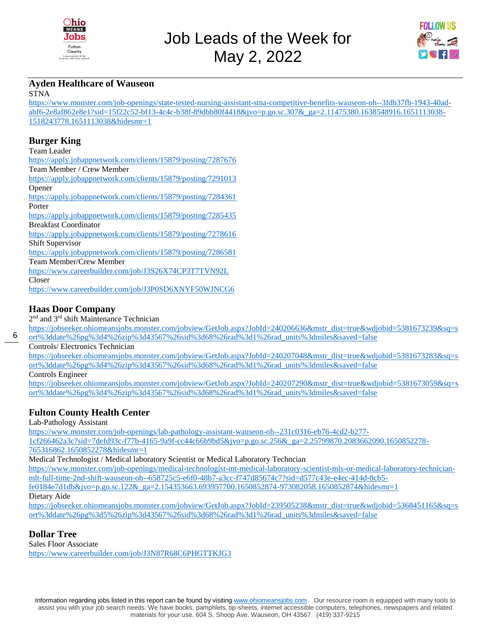



#### **Ayden Healthcare of Wauseon**

**STNA** 

[https://www.monster.com/job-openings/state-tested-nursing-assistant-stna-competitive-benefits-wauseon-oh--3fdb37fb-1943-40ad](https://www.monster.com/job-openings/state-tested-nursing-assistant-stna-competitive-benefits-wauseon-oh--3fdb37fb-1943-40ad-abf6-2e8af862e8e1?sid=15f22c52-bf13-4c4c-b38f-89dbb80f4418&jvo=p.go.sc.307&_ga=2.11475380.1638548916.1651113038-1518243778.1651113038&hidesmr=1)[abf6-2e8af862e8e1?sid=15f22c52-bf13-4c4c-b38f-89dbb80f4418&jvo=p.go.sc.307&\\_ga=2.11475380.1638548916.1651113038-](https://www.monster.com/job-openings/state-tested-nursing-assistant-stna-competitive-benefits-wauseon-oh--3fdb37fb-1943-40ad-abf6-2e8af862e8e1?sid=15f22c52-bf13-4c4c-b38f-89dbb80f4418&jvo=p.go.sc.307&_ga=2.11475380.1638548916.1651113038-1518243778.1651113038&hidesmr=1) [1518243778.1651113038&hidesmr=1](https://www.monster.com/job-openings/state-tested-nursing-assistant-stna-competitive-benefits-wauseon-oh--3fdb37fb-1943-40ad-abf6-2e8af862e8e1?sid=15f22c52-bf13-4c4c-b38f-89dbb80f4418&jvo=p.go.sc.307&_ga=2.11475380.1638548916.1651113038-1518243778.1651113038&hidesmr=1)

#### **Burger King**

Team Leader

<https://apply.jobappnetwork.com/clients/15879/posting/7287676> Team Member / Crew Member <https://apply.jobappnetwork.com/clients/15879/posting/7291013> Opener <https://apply.jobappnetwork.com/clients/15879/posting/7284361> Porter <https://apply.jobappnetwork.com/clients/15879/posting/7285435> Breakfast Coordinator <https://apply.jobappnetwork.com/clients/15879/posting/7278616> Shift Supervisor <https://apply.jobappnetwork.com/clients/15879/posting/7286581> Team Member/Crew Member <https://www.careerbuilder.com/job/J3S26X74CP3T7TVN92L> Closer <https://www.careerbuilder.com/job/J3P0SD6XNYF50WJNCG6>

#### **Haas Door Company**

2<sup>nd</sup> and 3<sup>rd</sup> shift Maintenance Technician

[https://jobseeker.ohiomeansjobs.monster.com/jobview/GetJob.aspx?JobId=240206636&mstr\\_dist=true&wdjobid=5381673239&sq=s](https://jobseeker.ohiomeansjobs.monster.com/jobview/GetJob.aspx?JobId=240206636&mstr_dist=true&wdjobid=5381673239&sq=sort%3ddate%26pg%3d4%26zip%3d43567%26sid%3d68%26rad%3d1%26rad_units%3dmiles&saved=false)

[ort%3ddate%26pg%3d4%26zip%3d43567%26sid%3d68%26rad%3d1%26rad\\_units%3dmiles&saved=false](https://jobseeker.ohiomeansjobs.monster.com/jobview/GetJob.aspx?JobId=240206636&mstr_dist=true&wdjobid=5381673239&sq=sort%3ddate%26pg%3d4%26zip%3d43567%26sid%3d68%26rad%3d1%26rad_units%3dmiles&saved=false)

Controls/ Electronics Technician

[https://jobseeker.ohiomeansjobs.monster.com/jobview/GetJob.aspx?JobId=240207048&mstr\\_dist=true&wdjobid=5381673283&sq=s](https://jobseeker.ohiomeansjobs.monster.com/jobview/GetJob.aspx?JobId=240207048&mstr_dist=true&wdjobid=5381673283&sq=sort%3ddate%26pg%3d4%26zip%3d43567%26sid%3d68%26rad%3d1%26rad_units%3dmiles&saved=false) [ort%3ddate%26pg%3d4%26zip%3d43567%26sid%3d68%26rad%3d1%26rad\\_units%3dmiles&saved=false](https://jobseeker.ohiomeansjobs.monster.com/jobview/GetJob.aspx?JobId=240207048&mstr_dist=true&wdjobid=5381673283&sq=sort%3ddate%26pg%3d4%26zip%3d43567%26sid%3d68%26rad%3d1%26rad_units%3dmiles&saved=false)

Controls Engineer

[https://jobseeker.ohiomeansjobs.monster.com/jobview/GetJob.aspx?JobId=240207290&mstr\\_dist=true&wdjobid=5381673059&sq=s](https://jobseeker.ohiomeansjobs.monster.com/jobview/GetJob.aspx?JobId=240207290&mstr_dist=true&wdjobid=5381673059&sq=sort%3ddate%26pg%3d4%26zip%3d43567%26sid%3d68%26rad%3d1%26rad_units%3dmiles&saved=false) [ort%3ddate%26pg%3d4%26zip%3d43567%26sid%3d68%26rad%3d1%26rad\\_units%3dmiles&saved=false](https://jobseeker.ohiomeansjobs.monster.com/jobview/GetJob.aspx?JobId=240207290&mstr_dist=true&wdjobid=5381673059&sq=sort%3ddate%26pg%3d4%26zip%3d43567%26sid%3d68%26rad%3d1%26rad_units%3dmiles&saved=false)

### **Fulton County Health Center**

Lab-Pathology Assistant

[https://www.monster.com/job-openings/lab-pathology-assistant-wauseon-oh--231c0316-eb76-4cd2-b277-](https://www.monster.com/job-openings/lab-pathology-assistant-wauseon-oh--231c0316-eb76-4cd2-b277-1cf266462a3c?sid=7defd93c-f77b-4165-9a9f-cc44c66b9bd5&jvo=p.go.sc.256&_ga=2.25799870.2083662090.1650852278-765316862.1650852278&hidesmr=1)

[1cf266462a3c?sid=7defd93c-f77b-4165-9a9f-cc44c66b9bd5&jvo=p.go.sc.256&\\_ga=2.25799870.2083662090.1650852278-](https://www.monster.com/job-openings/lab-pathology-assistant-wauseon-oh--231c0316-eb76-4cd2-b277-1cf266462a3c?sid=7defd93c-f77b-4165-9a9f-cc44c66b9bd5&jvo=p.go.sc.256&_ga=2.25799870.2083662090.1650852278-765316862.1650852278&hidesmr=1) [765316862.1650852278&hidesmr=1](https://www.monster.com/job-openings/lab-pathology-assistant-wauseon-oh--231c0316-eb76-4cd2-b277-1cf266462a3c?sid=7defd93c-f77b-4165-9a9f-cc44c66b9bd5&jvo=p.go.sc.256&_ga=2.25799870.2083662090.1650852278-765316862.1650852278&hidesmr=1)

Medical Technologist / Medical laboratory Scientist or Medical Laboratory Techncian

[https://www.monster.com/job-openings/medical-technologist-mt-medical-laboratory-scientist-mls-or-medical-laboratory-technician](https://www.monster.com/job-openings/medical-technologist-mt-medical-laboratory-scientist-mls-or-medical-laboratory-technician-mlt-full-time-2nd-shift-wauseon-oh--658725c5-e6f0-48b7-a3cc-f747d85674c7?sid=d577c43e-e4ec-414d-8cb5-fe0184e7d1db&jvo=p.go.sc.122&_ga=2.154353663.693957700.1650852874-973082058.1650852874&hidesmr=1)[mlt-full-time-2nd-shift-wauseon-oh--658725c5-e6f0-48b7-a3cc-f747d85674c7?sid=d577c43e-e4ec-414d-8cb5](https://www.monster.com/job-openings/medical-technologist-mt-medical-laboratory-scientist-mls-or-medical-laboratory-technician-mlt-full-time-2nd-shift-wauseon-oh--658725c5-e6f0-48b7-a3cc-f747d85674c7?sid=d577c43e-e4ec-414d-8cb5-fe0184e7d1db&jvo=p.go.sc.122&_ga=2.154353663.693957700.1650852874-973082058.1650852874&hidesmr=1) [fe0184e7d1db&jvo=p.go.sc.122&\\_ga=2.154353663.693957700.1650852874-973082058.1650852874&hidesmr=1](https://www.monster.com/job-openings/medical-technologist-mt-medical-laboratory-scientist-mls-or-medical-laboratory-technician-mlt-full-time-2nd-shift-wauseon-oh--658725c5-e6f0-48b7-a3cc-f747d85674c7?sid=d577c43e-e4ec-414d-8cb5-fe0184e7d1db&jvo=p.go.sc.122&_ga=2.154353663.693957700.1650852874-973082058.1650852874&hidesmr=1)

Dietary Aide

[https://jobseeker.ohiomeansjobs.monster.com/jobview/GetJob.aspx?JobId=239505238&mstr\\_dist=true&wdjobid=5368451165&sq=s](https://jobseeker.ohiomeansjobs.monster.com/jobview/GetJob.aspx?JobId=239505238&mstr_dist=true&wdjobid=5368451165&sq=sort%3ddate%26pg%3d5%26zip%3d43567%26sid%3d68%26rad%3d1%26rad_units%3dmiles&saved=false) [ort%3ddate%26pg%3d5%26zip%3d43567%26sid%3d68%26rad%3d1%26rad\\_units%3dmiles&saved=false](https://jobseeker.ohiomeansjobs.monster.com/jobview/GetJob.aspx?JobId=239505238&mstr_dist=true&wdjobid=5368451165&sq=sort%3ddate%26pg%3d5%26zip%3d43567%26sid%3d68%26rad%3d1%26rad_units%3dmiles&saved=false)

### **Dollar Tree**

Sales Floor Associate <https://www.careerbuilder.com/job/J3N87R68C6PHGTTKJG3>

6